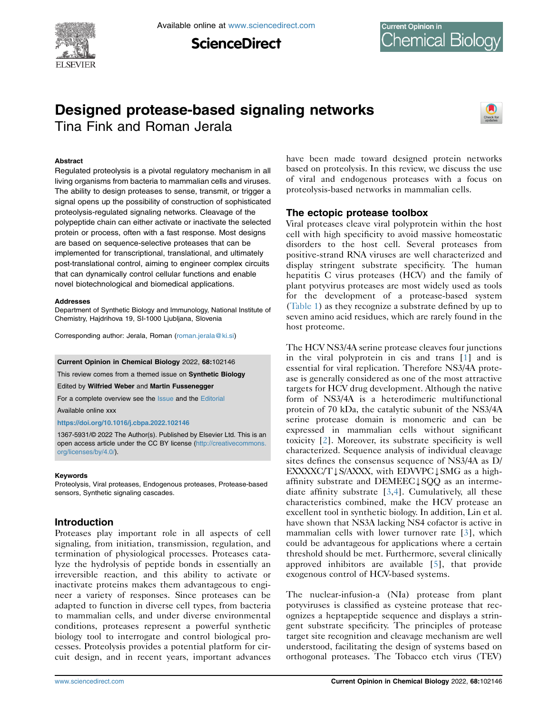

**ScienceDirect** 

# Designed protease-based signaling networks Tina Fink and Roman Jerala



### Abstract

Regulated proteolysis is a pivotal regulatory mechanism in all living organisms from bacteria to mammalian cells and viruses. The ability to design proteases to sense, transmit, or trigger a signal opens up the possibility of construction of sophisticated proteolysis-regulated signaling networks. Cleavage of the polypeptide chain can either activate or inactivate the selected protein or process, often with a fast response. Most designs are based on sequence-selective proteases that can be implemented for transcriptional, translational, and ultimately post-translational control, aiming to engineer complex circuits that can dynamically control cellular functions and enable novel biotechnological and biomedical applications.

#### Addresses

Department of Synthetic Biology and Immunology, National Institute of Chemistry, Hajdrihova 19, SI-1000 Ljubljana, Slovenia

Corresponding author: Jerala, Roman [\(roman.jerala@ki.si](mailto:roman.jerala@ki.si))

#### Current Opinion in Chemical Biology 2022, 68:102146

This review comes from a themed issue on Synthetic Biology

Edited by Wilfried Weber and Martin Fussenegger

For a complete overview see the [Issue](http://www.sciencedirect.com/science/journal/18796257/vol/issue) and the [Editorial](https://doi.org/10.1016/j.cbpa.2022.102146)

Available online xxx

### <https://doi.org/10.1016/j.cbpa.2022.102146>

1367-5931/© 2022 The Author(s). Published by Elsevier Ltd. This is an open access article under the CC BY license ([http://creativecommons.](http://creativecommons.org/licenses/by/4.0/) [org/licenses/by/4.0/](http://creativecommons.org/licenses/by/4.0/)).

### Keywords

Proteolysis, Viral proteases, Endogenous proteases, Protease-based sensors, Synthetic signaling cascades.

### Introduction

Proteases play important role in all aspects of cell signaling, from initiation, transmission, regulation, and termination of physiological processes. Proteases catalyze the hydrolysis of peptide bonds in essentially an irreversible reaction, and this ability to activate or inactivate proteins makes them advantageous to engineer a variety of responses. Since proteases can be adapted to function in diverse cell types, from bacteria to mammalian cells, and under diverse environmental conditions, proteases represent a powerful synthetic biology tool to interrogate and control biological processes. Proteolysis provides a potential platform for circuit design, and in recent years, important advances have been made toward designed protein networks based on proteolysis. In this review, we discuss the use of viral and endogenous proteases with a focus on proteolysis-based networks in mammalian cells.

### The ectopic protease toolbox

Viral proteases cleave viral polyprotein within the host cell with high specificity to avoid massive homeostatic disorders to the host cell. Several proteases from positive-strand RNA viruses are well characterized and display stringent substrate specificity. The human hepatitis C virus proteases (HCV) and the family of plant potyvirus proteases are most widely used as tools for the development of a protease-based system [\(Table 1](#page-1-0)) as they recognize a substrate defined by up to seven amino acid residues, which are rarely found in the host proteome.

The HCV NS3/4A serine protease cleaves four junctions in the viral polyprotein in cis and trans [\[1](#page-5-0)] and is essential for viral replication. Therefore NS3/4A protease is generally considered as one of the most attractive targets for HCV drug development. Although the native form of NS3/4A is a heterodimeric multifunctional protein of 70 kDa, the catalytic subunit of the NS3/4A serine protease domain is monomeric and can be expressed in mammalian cells without significant toxicity [[2](#page-5-1)]. Moreover, its substrate specificity is well characterized. Sequence analysis of individual cleavage sites defines the consensus sequence of NS3/4A as D/  $EXXXXC/T$   $\downarrow$   $S/AXXX$ , with EDVVPC  $\downarrow$  SMG as a highaffinity substrate and DEMEEC $\downarrow$ SQQ as an intermediate affinity substrate  $[3,4]$  $[3,4]$  $[3,4]$  $[3,4]$ . Cumulatively, all these characteristics combined, make the HCV protease an excellent tool in synthetic biology. In addition, Lin et al. have shown that NS3A lacking NS4 cofactor is active in mammalian cells with lower turnover rate [[3](#page-5-2)], which could be advantageous for applications where a certain threshold should be met. Furthermore, several clinically approved inhibitors are available [\[5](#page-5-4)], that provide exogenous control of HCV-based systems.

The nuclear-infusion-a (NIa) protease from plant potyviruses is classified as cysteine protease that recognizes a heptapeptide sequence and displays a stringent substrate specificity. The principles of protease target site recognition and cleavage mechanism are well understood, facilitating the design of systems based on orthogonal proteases. The Tobacco etch virus (TEV)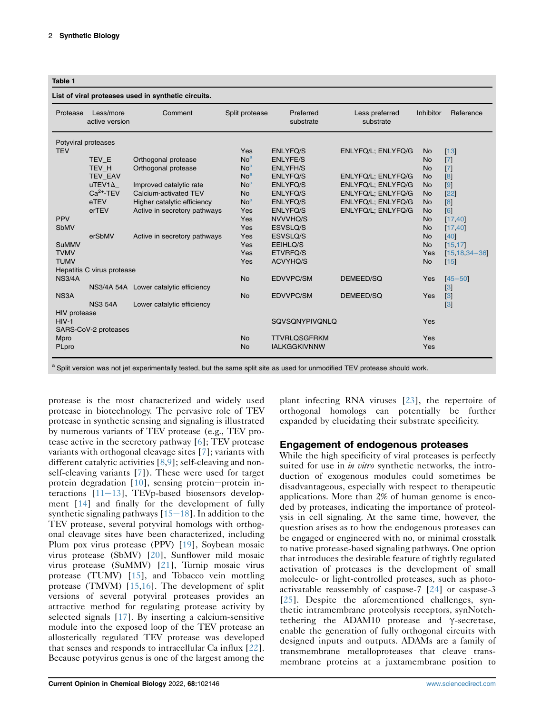#### <span id="page-1-0"></span>Table 1

#### List of viral proteases used in synthetic circuits.

| active version<br>substrate<br>substrate<br>Potyviral proteases<br><b>TEV</b><br>Yes<br><b>ENLYFQ/S</b><br>ENLYFQ/L; ENLYFQ/G<br><b>No</b><br>No <sup>a</sup><br>TEV E<br>Orthogonal protease<br><b>ENLYFE/S</b><br><b>No</b><br>No <sup>a</sup><br>TEV H<br>Orthogonal protease<br><b>ENLYFH/S</b><br><b>No</b><br>No <sup>a</sup><br><b>TEV EAV</b><br><b>ENLYFQ/S</b><br>ENLYFQ/L; ENLYFQ/G<br><b>No</b><br>$u$ TEV1 $\Delta$<br>Improved catalytic rate<br>No <sup>a</sup><br>ENLYFQ/L; ENLYFQ/G<br><b>ENLYFQ/S</b><br><b>No</b><br>$Ca2+-TEV$<br>Calcium-activated TEV<br><b>No</b><br><b>ENLYFQ/S</b><br>ENLYFQ/L; ENLYFQ/G<br><b>No</b><br>No <sup>a</sup><br>eTEV<br>Higher catalytic efficiency<br><b>ENLYFQ/S</b><br>ENLYFQ/L; ENLYFQ/G<br><b>No</b><br>erTEV<br>Active in secretory pathways<br>Yes<br><b>ENLYFQ/S</b><br>ENLYFQ/L; ENLYFQ/G<br><b>No</b><br><b>PPV</b><br>Yes<br>NVVVHQ/S<br><b>No</b><br><b>SbMV</b><br>Yes<br>ESVSLQ/S<br><b>No</b><br>erSbMV<br>ESVSLQ/S<br>Active in secretory pathways<br>Yes<br><b>No</b><br><b>SuMMV</b><br>Yes<br>EEIHLQ/S<br><b>No</b><br><b>TVMV</b><br>Yes<br>ETVRFQ/S<br>Yes<br><b>TUMV</b><br>Yes<br><b>ACVYHQ/S</b><br><b>No</b><br>Hepatitis C virus protease | $[13]$<br>$[7]$<br>$\vert 7 \vert$<br> 8 <br>[9]<br>$[22]$ |
|--------------------------------------------------------------------------------------------------------------------------------------------------------------------------------------------------------------------------------------------------------------------------------------------------------------------------------------------------------------------------------------------------------------------------------------------------------------------------------------------------------------------------------------------------------------------------------------------------------------------------------------------------------------------------------------------------------------------------------------------------------------------------------------------------------------------------------------------------------------------------------------------------------------------------------------------------------------------------------------------------------------------------------------------------------------------------------------------------------------------------------------------------------------------------------------------------------------------------|------------------------------------------------------------|
|                                                                                                                                                                                                                                                                                                                                                                                                                                                                                                                                                                                                                                                                                                                                                                                                                                                                                                                                                                                                                                                                                                                                                                                                                          |                                                            |
|                                                                                                                                                                                                                                                                                                                                                                                                                                                                                                                                                                                                                                                                                                                                                                                                                                                                                                                                                                                                                                                                                                                                                                                                                          |                                                            |
|                                                                                                                                                                                                                                                                                                                                                                                                                                                                                                                                                                                                                                                                                                                                                                                                                                                                                                                                                                                                                                                                                                                                                                                                                          |                                                            |
|                                                                                                                                                                                                                                                                                                                                                                                                                                                                                                                                                                                                                                                                                                                                                                                                                                                                                                                                                                                                                                                                                                                                                                                                                          |                                                            |
|                                                                                                                                                                                                                                                                                                                                                                                                                                                                                                                                                                                                                                                                                                                                                                                                                                                                                                                                                                                                                                                                                                                                                                                                                          |                                                            |
|                                                                                                                                                                                                                                                                                                                                                                                                                                                                                                                                                                                                                                                                                                                                                                                                                                                                                                                                                                                                                                                                                                                                                                                                                          |                                                            |
|                                                                                                                                                                                                                                                                                                                                                                                                                                                                                                                                                                                                                                                                                                                                                                                                                                                                                                                                                                                                                                                                                                                                                                                                                          |                                                            |
|                                                                                                                                                                                                                                                                                                                                                                                                                                                                                                                                                                                                                                                                                                                                                                                                                                                                                                                                                                                                                                                                                                                                                                                                                          |                                                            |
|                                                                                                                                                                                                                                                                                                                                                                                                                                                                                                                                                                                                                                                                                                                                                                                                                                                                                                                                                                                                                                                                                                                                                                                                                          | [8]                                                        |
|                                                                                                                                                                                                                                                                                                                                                                                                                                                                                                                                                                                                                                                                                                                                                                                                                                                                                                                                                                                                                                                                                                                                                                                                                          | [6]                                                        |
|                                                                                                                                                                                                                                                                                                                                                                                                                                                                                                                                                                                                                                                                                                                                                                                                                                                                                                                                                                                                                                                                                                                                                                                                                          | [17, 40]                                                   |
|                                                                                                                                                                                                                                                                                                                                                                                                                                                                                                                                                                                                                                                                                                                                                                                                                                                                                                                                                                                                                                                                                                                                                                                                                          | [17, 40]                                                   |
|                                                                                                                                                                                                                                                                                                                                                                                                                                                                                                                                                                                                                                                                                                                                                                                                                                                                                                                                                                                                                                                                                                                                                                                                                          | [40]                                                       |
|                                                                                                                                                                                                                                                                                                                                                                                                                                                                                                                                                                                                                                                                                                                                                                                                                                                                                                                                                                                                                                                                                                                                                                                                                          | [15, 17]                                                   |
|                                                                                                                                                                                                                                                                                                                                                                                                                                                                                                                                                                                                                                                                                                                                                                                                                                                                                                                                                                                                                                                                                                                                                                                                                          | $[15, 18, 34 - 36]$                                        |
|                                                                                                                                                                                                                                                                                                                                                                                                                                                                                                                                                                                                                                                                                                                                                                                                                                                                                                                                                                                                                                                                                                                                                                                                                          | $[15]$                                                     |
|                                                                                                                                                                                                                                                                                                                                                                                                                                                                                                                                                                                                                                                                                                                                                                                                                                                                                                                                                                                                                                                                                                                                                                                                                          |                                                            |
| <b>No</b><br><b>NS3/4A</b><br><b>EDVVPC/SM</b><br>DEMEED/SQ<br>Yes                                                                                                                                                                                                                                                                                                                                                                                                                                                                                                                                                                                                                                                                                                                                                                                                                                                                                                                                                                                                                                                                                                                                                       | $[45 - 50]$                                                |
| NS3/4A 54A Lower catalytic efficiency                                                                                                                                                                                                                                                                                                                                                                                                                                                                                                                                                                                                                                                                                                                                                                                                                                                                                                                                                                                                                                                                                                                                                                                    | $\left[3\right]$                                           |
| NS3A<br><b>No</b><br><b>EDVVPC/SM</b><br>DEMEED/SQ<br>Yes                                                                                                                                                                                                                                                                                                                                                                                                                                                                                                                                                                                                                                                                                                                                                                                                                                                                                                                                                                                                                                                                                                                                                                | $\left[3\right]$                                           |
| <b>NS3 54A</b><br>Lower catalytic efficiency                                                                                                                                                                                                                                                                                                                                                                                                                                                                                                                                                                                                                                                                                                                                                                                                                                                                                                                                                                                                                                                                                                                                                                             | $\left[3\right]$                                           |
| <b>HIV</b> protease                                                                                                                                                                                                                                                                                                                                                                                                                                                                                                                                                                                                                                                                                                                                                                                                                                                                                                                                                                                                                                                                                                                                                                                                      |                                                            |
| $HIV-1$<br><b>SQVSQNYPIVQNLQ</b><br>Yes                                                                                                                                                                                                                                                                                                                                                                                                                                                                                                                                                                                                                                                                                                                                                                                                                                                                                                                                                                                                                                                                                                                                                                                  |                                                            |
| SARS-CoV-2 proteases                                                                                                                                                                                                                                                                                                                                                                                                                                                                                                                                                                                                                                                                                                                                                                                                                                                                                                                                                                                                                                                                                                                                                                                                     |                                                            |
| <b>No</b><br>Mpro<br><b>TTVRLQSGFRKM</b><br>Yes                                                                                                                                                                                                                                                                                                                                                                                                                                                                                                                                                                                                                                                                                                                                                                                                                                                                                                                                                                                                                                                                                                                                                                          |                                                            |
| <b>No</b><br><b>IALKGGKIVNNW</b><br>Yes<br>PLpro                                                                                                                                                                                                                                                                                                                                                                                                                                                                                                                                                                                                                                                                                                                                                                                                                                                                                                                                                                                                                                                                                                                                                                         |                                                            |

<span id="page-1-1"></span>a Split version was not jet experimentally tested, but the same split site as used for unmodified TEV protease should work.

protease is the most characterized and widely used protease in biotechnology. The pervasive role of TEV protease in synthetic sensing and signaling is illustrated by numerous variants of TEV protease (e.g., TEV protease active in the secretory pathway [[6\]](#page-5-5); TEV protease variants with orthogonal cleavage sites [\[7](#page-5-6)]; variants with different catalytic activities [\[8](#page-6-0),[9](#page-6-1)]; self-cleaving and nonself-cleaving variants [[7](#page-5-6)]). These were used for target protein degradation  $[10]$  $[10]$ , sensing protein-protein interactions  $[11-13]$  $[11-13]$  $[11-13]$ , TEVp-based biosensors development [[14](#page-6-4)] and finally for the development of fully synthetic signaling pathways  $[15-18]$  $[15-18]$  $[15-18]$  $[15-18]$ . In addition to the TEV protease, several potyviral homologs with orthogonal cleavage sites have been characterized, including Plum pox virus protease (PPV) [[19](#page-6-6)], Soybean mosaic virus protease (SbMV) [\[20\]](#page-6-7), Sunflower mild mosaic virus protease (SuMMV) [[21](#page-6-8)], Turnip mosaic virus protease (TUMV) [\[15\]](#page-6-5), and Tobacco vein mottling protease (TMVM) [\[15](#page-6-5)[,16\]](#page-6-9). The development of split versions of several potyviral proteases provides an attractive method for regulating protease activity by selected signals [\[17\]](#page-6-10). By inserting a calcium-sensitive module into the exposed loop of the TEV protease an allosterically regulated TEV protease was developed that senses and responds to intracellular Ca influx [[22](#page-6-11)]. Because potyvirus genus is one of the largest among the

plant infecting RNA viruses [[23](#page-6-12)], the repertoire of orthogonal homologs can potentially be further expanded by elucidating their substrate specificity.

### Engagement of endogenous proteases

While the high specificity of viral proteases is perfectly suited for use in *in vitro* synthetic networks, the introduction of exogenous modules could sometimes be disadvantageous, especially with respect to therapeutic applications. More than 2% of human genome is encoded by proteases, indicating the importance of proteolysis in cell signaling. At the same time, however, the question arises as to how the endogenous proteases can be engaged or engineered with no, or minimal crosstalk to native protease-based signaling pathways. One option that introduces the desirable feature of tightly regulated activation of proteases is the development of small molecule- or light-controlled proteases, such as photoactivatable reassembly of caspase-7 [[24](#page-6-13)] or caspase-3 [\[25\]](#page-6-14). Despite the aforementioned challenges, synthetic intramembrane proteolysis receptors, synNotchtethering the  $ADAM10$  protease and  $\gamma$ -secretase, enable the generation of fully orthogonal circuits with designed inputs and outputs. ADAMs are a family of transmembrane metalloproteases that cleave transmembrane proteins at a juxtamembrane position to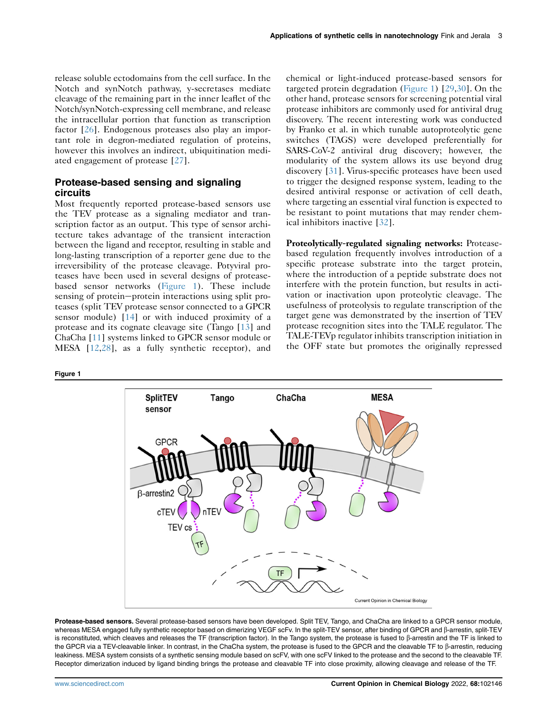release soluble ectodomains from the cell surface. In the Notch and synNotch pathway, y-secretases mediate cleavage of the remaining part in the inner leaflet of the Notch/synNotch-expressing cell membrane, and release the intracellular portion that function as transcription factor [[26](#page-6-19)]. Endogenous proteases also play an important role in degron-mediated regulation of proteins, however this involves an indirect, ubiquitination mediated engagement of protease [\[27](#page-6-20)].

### Protease-based sensing and signaling circuits

Most frequently reported protease-based sensors use the TEV protease as a signaling mediator and transcription factor as an output. This type of sensor architecture takes advantage of the transient interaction between the ligand and receptor, resulting in stable and long-lasting transcription of a reporter gene due to the irreversibility of the protease cleavage. Potyviral proteases have been used in several designs of proteasebased sensor networks [\(Figure 1](#page-2-0)). These include sensing of protein-protein interactions using split proteases (split TEV protease sensor connected to a GPCR sensor module) [\[14\]](#page-6-4) or with induced proximity of a protease and its cognate cleavage site (Tango [\[13\]](#page-6-15) and ChaCha [[11\]](#page-6-3) systems linked to GPCR sensor module or MESA [[12](#page-6-21),[28](#page-6-22)], as a fully synthetic receptor), and

<span id="page-2-0"></span>Figure 1



Proteolytically-regulated signaling networks: Proteasebased regulation frequently involves introduction of a specific protease substrate into the target protein, where the introduction of a peptide substrate does not interfere with the protein function, but results in activation or inactivation upon proteolytic cleavage. The usefulness of proteolysis to regulate transcription of the target gene was demonstrated by the insertion of TEV protease recognition sites into the TALE regulator. The TALE-TEVp regulator inhibits transcription initiation in the OFF state but promotes the originally repressed



Protease-based sensors. Several protease-based sensors have been developed. Split TEV, Tango, and ChaCha are linked to a GPCR sensor module, whereas MESA engaged fully synthetic receptor based on dimerizing VEGF scFv. In the split-TEV sensor, after binding of GPCR and β-arrestin, split-TEV is reconstituted, which cleaves and releases the TF (transcription factor). In the Tango system, the protease is fused to  $\beta$ -arrestin and the TF is linked to the GPCR via a TEV-cleavable linker. In contrast, in the ChaCha system, the protease is fused to the GPCR and the cleavable TF to  $\beta$ -arrestin, reducing leakiness. MESA system consists of a synthetic sensing module based on scFV, with one scFV linked to the protease and the second to the cleavable TF. Receptor dimerization induced by ligand binding brings the protease and cleavable TF into close proximity, allowing cleavage and release of the TF.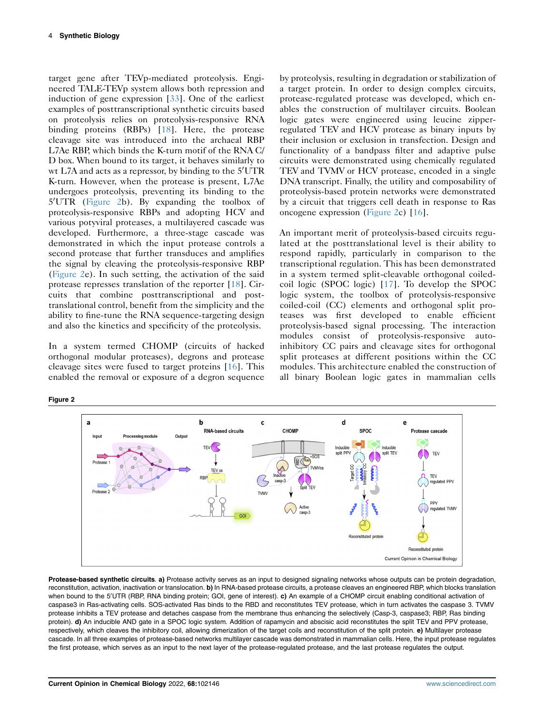target gene after TEVp-mediated proteolysis. Engineered TALE-TEVp system allows both repression and induction of gene expression [[33](#page-6-27)]. One of the earliest examples of posttranscriptional synthetic circuits based on proteolysis relies on proteolysis-responsive RNA binding proteins (RBPs) [[18\]](#page-6-17). Here, the protease cleavage site was introduced into the archaeal RBP L7Ae RBP, which binds the K-turn motif of the RNA C/ D box. When bound to its target, it behaves similarly to wt L7A and acts as a repressor, by binding to the  $5^{\prime} \mathrm{UTR}$ K-turn. However, when the protease is present, L7Ae undergoes proteolysis, preventing its binding to the 5'UTR ([Figure 2](#page-3-0)b). By expanding the toolbox of proteolysis-responsive RBPs and adopting HCV and various potyviral proteases, a multilayered cascade was developed. Furthermore, a three-stage cascade was demonstrated in which the input protease controls a second protease that further transduces and amplifies the signal by cleaving the proteolysis-responsive RBP [\(Figure 2](#page-3-0)e). In such setting, the activation of the said protease represses translation of the reporter [[18](#page-6-17)]. Circuits that combine posttranscriptional and posttranslational control, benefit from the simplicity and the ability to fine-tune the RNA sequence-targeting design and also the kinetics and specificity of the proteolysis.

In a system termed CHOMP (circuits of hacked orthogonal modular proteases), degrons and protease cleavage sites were fused to target proteins [\[16\]](#page-6-9). This enabled the removal or exposure of a degron sequence by proteolysis, resulting in degradation or stabilization of a target protein. In order to design complex circuits, protease-regulated protease was developed, which enables the construction of multilayer circuits. Boolean logic gates were engineered using leucine zipperregulated TEV and HCV protease as binary inputs by their inclusion or exclusion in transfection. Design and functionality of a bandpass filter and adaptive pulse circuits were demonstrated using chemically regulated TEV and TVMV or HCV protease, encoded in a single DNA transcript. Finally, the utility and composability of proteolysis-based protein networks were demonstrated by a circuit that triggers cell death in response to Ras oncogene expression ([Figure 2](#page-3-0)c) [\[16\]](#page-6-9).

An important merit of proteolysis-based circuits regulated at the posttranslational level is their ability to respond rapidly, particularly in comparison to the transcriptional regulation. This has been demonstrated in a system termed split-cleavable orthogonal coiledcoil logic (SPOC logic) [[17\]](#page-6-10). To develop the SPOC logic system, the toolbox of proteolysis-responsive coiled-coil (CC) elements and orthogonal split proteases was first developed to enable efficient proteolysis-based signal processing. The interaction modules consist of proteolysis-responsive autoinhibitory CC pairs and cleavage sites for orthogonal split proteases at different positions within the CC modules. This architecture enabled the construction of all binary Boolean logic gates in mammalian cells

<span id="page-3-0"></span>Figure 2



Protease-based synthetic circuits. a) Protease activity serves as an input to designed signaling networks whose outputs can be protein degradation, reconstitution, activation, inactivation or translocation. b) In RNA-based protease circuits, a protease cleaves an engineered RBP, which blocks translation when bound to the 5'UTR (RBP, RNA binding protein; GOI, gene of interest). **c)** An example of a CHOMP circuit enabling conditional activation of caspase3 in Ras-activating cells. SOS-activated Ras binds to the RBD and reconstitutes TEV protease, which in turn activates the caspase 3. TVMV protease inhibits a TEV protease and detaches caspase from the membrane thus enhancing the selectively (Casp-3, caspase3; RBP, Ras binding protein). d) An inducible AND gate in a SPOC logic system. Addition of rapamycin and abscisic acid reconstitutes the split TEV and PPV protease, respectively, which cleaves the inhibitory coil, allowing dimerization of the target coils and reconstitution of the split protein. e) Multilayer protease cascade. In all three examples of protease-based networks multilayer cascade was demonstrated in mammalian cells. Here, the input protease regulates the first protease, which serves as an input to the next layer of the protease-regulated protease, and the last protease regulates the output.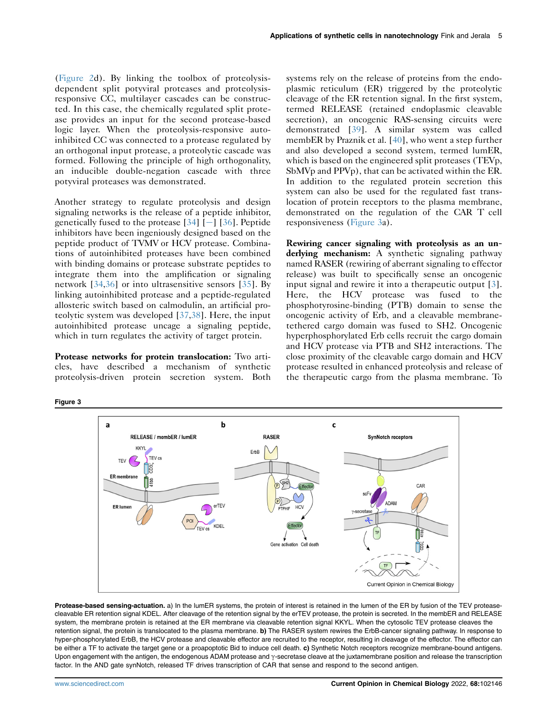[\(Figure 2](#page-3-0)d). By linking the toolbox of proteolysisdependent split potyviral proteases and proteolysisresponsive CC, multilayer cascades can be constructed. In this case, the chemically regulated split protease provides an input for the second protease-based logic layer. When the proteolysis-responsive autoinhibited CC was connected to a protease regulated by an orthogonal input protease, a proteolytic cascade was formed. Following the principle of high orthogonality, an inducible double-negation cascade with three potyviral proteases was demonstrated.

Another strategy to regulate proteolysis and design signaling networks is the release of a peptide inhibitor, genetically fused to the protease  $[34]$  $[34]$  $[34]$  [-] [[36](#page-6-18)]. Peptide inhibitors have been ingeniously designed based on the peptide product of TVMV or HCV protease. Combinations of autoinhibited proteases have been combined with binding domains or protease substrate peptides to integrate them into the amplification or signaling network [\[34,](#page-6-18)[36\]](#page-6-28) or into ultrasensitive sensors [\[35\]](#page-6-29). By linking autoinhibited protease and a peptide-regulated allosteric switch based on calmodulin, an artificial proteolytic system was developed [[37,](#page-6-30)[38\]](#page-6-31). Here, the input autoinhibited protease uncage a signaling peptide, which in turn regulates the activity of target protein.

Protease networks for protein translocation: Two articles, have described a mechanism of synthetic proteolysis-driven protein secretion system. Both

systems rely on the release of proteins from the endoplasmic reticulum (ER) triggered by the proteolytic cleavage of the ER retention signal. In the first system, termed RELEASE (retained endoplasmic cleavable secretion), an oncogenic RAS-sensing circuits were demonstrated [\[39](#page-6-32)]. A similar system was called membER by Praznik et al. [[40\]](#page-6-16), who went a step further and also developed a second system, termed lumER, which is based on the engineered split proteases (TEVp, SbMVp and PPVp), that can be activated within the ER. In addition to the regulated protein secretion this system can also be used for the regulated fast translocation of protein receptors to the plasma membrane, demonstrated on the regulation of the CAR T cell responsiveness ([Figure 3](#page-4-0)a).

Rewiring cancer signaling with proteolysis as an underlying mechanism: A synthetic signaling pathway named RASER (rewiring of aberrant signaling to effector release) was built to specifically sense an oncogenic input signal and rewire it into a therapeutic output [\[3\]](#page-5-2). Here, the HCV protease was fused to the phosphotyrosine-binding (PTB) domain to sense the oncogenic activity of Erb, and a cleavable membranetethered cargo domain was fused to SH2. Oncogenic hyperphosphorylated Erb cells recruit the cargo domain and HCV protease via PTB and SH2 interactions. The close proximity of the cleavable cargo domain and HCV protease resulted in enhanced proteolysis and release of the therapeutic cargo from the plasma membrane. To



Protease-based sensing-actuation. a) In the lumER systems, the protein of interest is retained in the lumen of the ER by fusion of the TEV proteasecleavable ER retention signal KDEL. After cleavage of the retention signal by the erTEV protease, the protein is secreted. In the membER and RELEASE system, the membrane protein is retained at the ER membrane via cleavable retention signal KKYL. When the cytosolic TEV protease cleaves the retention signal, the protein is translocated to the plasma membrane. b) The RASER system rewires the ErbB-cancer signaling pathway. In response to hyper-phosphorylated ErbB, the HCV protease and cleavable effector are recruited to the receptor, resulting in cleavage of the effector. The effector can be either a TF to activate the target gene or a proapoptotic Bid to induce cell death. c) Synthetic Notch receptors recognize membrane-bound antigens. Upon engagement with the antigen, the endogenous ADAM protease and y-secretase cleave at the juxtamembrane position and release the transcription factor. In the AND gate synNotch, released TF drives transcription of CAR that sense and respond to the second antigen.

<span id="page-4-0"></span>Figure 3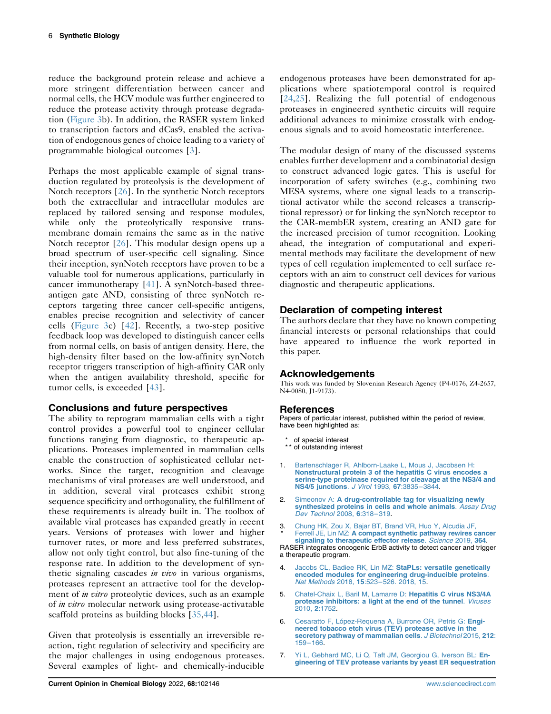reduce the background protein release and achieve a more stringent differentiation between cancer and normal cells, the HCV module was further engineered to reduce the protease activity through protease degradation [\(Figure 3](#page-4-0)b). In addition, the RASER system linked to transcription factors and dCas9, enabled the activation of endogenous genes of choice leading to a variety of programmable biological outcomes [[3](#page-5-2)].

Perhaps the most applicable example of signal transduction regulated by proteolysis is the development of Notch receptors [\[26\]](#page-6-19). In the synthetic Notch receptors both the extracellular and intracellular modules are replaced by tailored sensing and response modules, while only the proteolytically responsive transmembrane domain remains the same as in the native Notch receptor [\[26\]](#page-6-19). This modular design opens up a broad spectrum of user-specific cell signaling. Since their inception, synNotch receptors have proven to be a valuable tool for numerous applications, particularly in cancer immunotherapy [\[41\]](#page-6-33). A synNotch-based threeantigen gate AND, consisting of three synNotch receptors targeting three cancer cell-specific antigens, enables precise recognition and selectivity of cancer cells ([Figure 3c](#page-4-0)) [\[42](#page-6-34)]. Recently, a two-step positive feedback loop was developed to distinguish cancer cells from normal cells, on basis of antigen density. Here, the high-density filter based on the low-affinity synNotch receptor triggers transcription of high-affinity CAR only when the antigen availability threshold, specific for tumor cells, is exceeded [\[43\]](#page-7-1).

# Conclusions and future perspectives

The ability to reprogram mammalian cells with a tight control provides a powerful tool to engineer cellular functions ranging from diagnostic, to therapeutic applications. Proteases implemented in mammalian cells enable the construction of sophisticated cellular networks. Since the target, recognition and cleavage mechanisms of viral proteases are well understood, and in addition, several viral proteases exhibit strong sequence specificity and orthogonality, the fulfillment of these requirements is already built in. The toolbox of available viral proteases has expanded greatly in recent years. Versions of proteases with lower and higher turnover rates, or more and less preferred substrates, allow not only tight control, but also fine-tuning of the response rate. In addition to the development of synthetic signaling cascades *in vivo* in various organisms, proteases represent an attractive tool for the development of *in vitro* proteolytic devices, such as an example of *in vitro* molecular network using protease-activatable scaffold proteins as building blocks [\[35](#page-6-29)[,44\]](#page-7-2).

Given that proteolysis is essentially an irreversible reaction, tight regulation of selectivity and specificity are the major challenges in using endogenous proteases. Several examples of light- and chemically-inducible The modular design of many of the discussed systems enables further development and a combinatorial design to construct advanced logic gates. This is useful for incorporation of safety switches (e.g., combining two MESA systems, where one signal leads to a transcriptional activator while the second releases a transcriptional repressor) or for linking the synNotch receptor to the CAR-membER system, creating an AND gate for the increased precision of tumor recognition. Looking ahead, the integration of computational and experimental methods may facilitate the development of new types of cell regulation implemented to cell surface receptors with an aim to construct cell devices for various diagnostic and therapeutic applications.

# Declaration of competing interest

The authors declare that they have no known competing financial interests or personal relationships that could have appeared to influence the work reported in this paper.

# Acknowledgements

This work was funded by Slovenian Research Agency (P4-0176, Z4-2657, N<sub>4</sub>-0080, J<sub>1</sub>-9173).

### References

Papers of particular interest, published within the period of review, have been highlighted as:

- \* of special interest \*\* of outstanding interest
- <span id="page-5-0"></span>1. [Bartenschlager R, Ahlborn-Laake L, Mous J, Jacobsen H:](http://refhub.elsevier.com/S1367-5931(22)00031-X/sref1) [Nonstructural protein 3 of the hepatitis C virus encodes a](http://refhub.elsevier.com/S1367-5931(22)00031-X/sref1) [serine-type proteinase required for cleavage at the NS3/4 and](http://refhub.elsevier.com/S1367-5931(22)00031-X/sref1) [NS4/5 junctions](http://refhub.elsevier.com/S1367-5931(22)00031-X/sref1). J Virol 1993, 67:3835–3844.
- <span id="page-5-1"></span>Simeonov A: [A drug-controllable tag for visualizing newly](http://refhub.elsevier.com/S1367-5931(22)00031-X/sref2) [synthesized proteins in cells and whole animals](http://refhub.elsevier.com/S1367-5931(22)00031-X/sref2). Assay Drug [Dev Technol](http://refhub.elsevier.com/S1367-5931(22)00031-X/sref2) 2008, 6:318–319.
- <span id="page-5-2"></span>3 \* . [Chung HK, Zou X, Bajar BT, Brand VR, Huo Y, Alcudia JF,](http://refhub.elsevier.com/S1367-5931(22)00031-X/sref3) Ferrell JE, Lin MZ: [A compact synthetic pathway rewires cancer](http://refhub.elsevier.com/S1367-5931(22)00031-X/sref3) [signaling to therapeutic effector release](http://refhub.elsevier.com/S1367-5931(22)00031-X/sref3). Science 2019, 364.

RASER integrates oncogenic ErbB activity to detect cancer and trigger a therapeutic program.

- <span id="page-5-3"></span>[Jacobs CL, Badiee RK, Lin MZ:](http://refhub.elsevier.com/S1367-5931(22)00031-X/sref4) StaPLs: versatile genetically [encoded modules for engineering drug-inducible proteins](http://refhub.elsevier.com/S1367-5931(22)00031-X/sref4). Nat Methods 2018, 15:523–[526. 2018, 15.](http://refhub.elsevier.com/S1367-5931(22)00031-X/sref4)
- <span id="page-5-4"></span>5. [Chatel-Chaix L, Baril M, Lamarre D:](http://refhub.elsevier.com/S1367-5931(22)00031-X/sref5) Hepatitis C virus NS3/4A [protease inhibitors: a light at the end of the tunnel](http://refhub.elsevier.com/S1367-5931(22)00031-X/sref5). Viruses [2010,](http://refhub.elsevier.com/S1367-5931(22)00031-X/sref5) 2:1752.
- <span id="page-5-5"></span>6. [Cesaratto F, López-Requena A, Burrone OR, Petris G:](http://refhub.elsevier.com/S1367-5931(22)00031-X/sref6) Engi[neered tobacco etch virus \(TEV\) protease active in the](http://refhub.elsevier.com/S1367-5931(22)00031-X/sref6) [secretory pathway of mammalian cells](http://refhub.elsevier.com/S1367-5931(22)00031-X/sref6). J Biotechnol 2015, 212: [159](http://refhub.elsevier.com/S1367-5931(22)00031-X/sref6)–166.
- <span id="page-5-6"></span>7. [Yi L, Gebhard MC, Li Q, Taft JM, Georgiou G, Iverson BL:](http://refhub.elsevier.com/S1367-5931(22)00031-X/sref7) En[gineering of TEV protease variants by yeast ER sequestration](http://refhub.elsevier.com/S1367-5931(22)00031-X/sref7)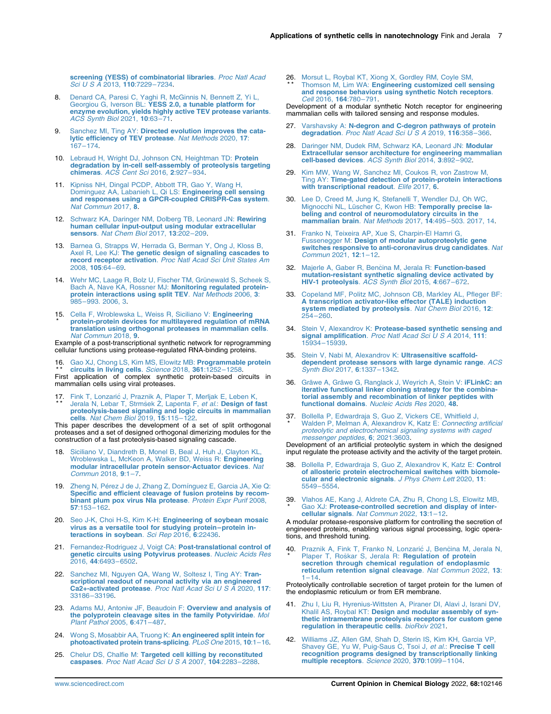[screening \(YESS\) of combinatorial libraries](http://refhub.elsevier.com/S1367-5931(22)00031-X/sref7). Proc Natl Acad [Sci U S A](http://refhub.elsevier.com/S1367-5931(22)00031-X/sref7) 2013, 110:7229–7234.

- <span id="page-6-0"></span>8. [Denard CA, Paresi C, Yaghi R, McGinnis N, Bennett Z, Yi L,](http://refhub.elsevier.com/S1367-5931(22)00031-X/sref8)<br>Georgiou G, Iverson BL: [YESS 2.0, a tunable platform for](http://refhub.elsevier.com/S1367-5931(22)00031-X/sref8) [enzyme evolution, yields highly active TEV protease variants](http://refhub.elsevier.com/S1367-5931(22)00031-X/sref8). [ACS Synth Biol](http://refhub.elsevier.com/S1367-5931(22)00031-X/sref8) 2021, 10:63–71.
- <span id="page-6-1"></span>9. Sanchez MI, Ting AY: [Directed evolution improves the cata](http://refhub.elsevier.com/S1367-5931(22)00031-X/sref9)[lytic efficiency of TEV protease](http://refhub.elsevier.com/S1367-5931(22)00031-X/sref9). Nat Methods 2020, 17: [167](http://refhub.elsevier.com/S1367-5931(22)00031-X/sref9)–174.
- <span id="page-6-2"></span>10. [Lebraud H, Wright DJ, Johnson CN, Heightman TD:](http://refhub.elsevier.com/S1367-5931(22)00031-X/sref10) Protein [degradation by in-cell self-assembly of proteolysis targeting](http://refhub.elsevier.com/S1367-5931(22)00031-X/sref10) chimeras. [ACS Cent Sci](http://refhub.elsevier.com/S1367-5931(22)00031-X/sref10) 2016, 2:927–934.
- <span id="page-6-3"></span>11. [Kipniss NH, Dingal PCDP, Abbott TR, Gao Y, Wang H,](http://refhub.elsevier.com/S1367-5931(22)00031-X/sref11) [Dominguez AA, Labanieh L, Qi LS:](http://refhub.elsevier.com/S1367-5931(22)00031-X/sref11) Engineering cell sensing [and responses using a GPCR-coupled CRISPR-Cas system](http://refhub.elsevier.com/S1367-5931(22)00031-X/sref11). [Nat Commun](http://refhub.elsevier.com/S1367-5931(22)00031-X/sref11) 2017, 8.
- <span id="page-6-21"></span>12. [Schwarz KA, Daringer NM, Dolberg TB, Leonard JN:](http://refhub.elsevier.com/S1367-5931(22)00031-X/sref12) Rewiring [human cellular input-output using modular extracellular](http://refhub.elsevier.com/S1367-5931(22)00031-X/sref12) sensors. [Nat Chem Biol](http://refhub.elsevier.com/S1367-5931(22)00031-X/sref12) 2017, 13:202-209.
- <span id="page-6-15"></span>13. [Barnea G, Strapps W, Herrada G, Berman Y, Ong J, Kloss B,](http://refhub.elsevier.com/S1367-5931(22)00031-X/sref13) Axel R, Lee KJ: [The genetic design of signaling cascades to](http://refhub.elsevier.com/S1367-5931(22)00031-X/sref13) record receptor activation. [Proc Natl Acad Sci Unit States Am](http://refhub.elsevier.com/S1367-5931(22)00031-X/sref13) [2008,](http://refhub.elsevier.com/S1367-5931(22)00031-X/sref13) 105:64–69.
- <span id="page-6-4"></span>14. [Wehr MC, Laage R, Bolz U, Fischer TM, Grünewald S, Scheek S,](http://refhub.elsevier.com/S1367-5931(22)00031-X/sref14) [Bach A, Nave KA, Rossner MJ:](http://refhub.elsevier.com/S1367-5931(22)00031-X/sref14) Monitoring regulated protein[protein interactions using split TEV](http://refhub.elsevier.com/S1367-5931(22)00031-X/sref14). Nat Methods 2006, 3: 985–[993. 2006, 3](http://refhub.elsevier.com/S1367-5931(22)00031-X/sref14).
- <span id="page-6-5"></span>15. [Cella F, Wroblewska L, Weiss R, Siciliano V:](http://refhub.elsevier.com/S1367-5931(22)00031-X/sref15) Engineering \* [protein-protein devices for multilayered regulation of mRNA](http://refhub.elsevier.com/S1367-5931(22)00031-X/sref15) [translation using orthogonal proteases in mammalian cells](http://refhub.elsevier.com/S1367-5931(22)00031-X/sref15). [Nat Commun](http://refhub.elsevier.com/S1367-5931(22)00031-X/sref15) 2018, 9.

Example of a post-transcriptional synthetic network for reprogramming cellular functions using protease-regulated RNA-binding proteins.

<span id="page-6-9"></span>16. [Gao XJ, Chong LS, Kim MS, Elowitz MB:](http://refhub.elsevier.com/S1367-5931(22)00031-X/sref16) Programmable protein \* \* [circuits in living cells](http://refhub.elsevier.com/S1367-5931(22)00031-X/sref16). Science 2018, 361:1252–1258.

First application of complex synthetic protein-based circuits in mammalian cells using viral proteases.

<span id="page-6-10"></span>17 \* \* [Fink T, Lonzari](http://refhub.elsevier.com/S1367-5931(22)00031-X/sref17)ć [J, Praznik A, Plaper T, Merljak E, Leben K,](http://refhub.elsevier.com/S1367-5931(22)00031-X/sref17)<br>[Jerala N, Lebar T, Strm](http://refhub.elsevier.com/S1367-5931(22)00031-X/sref17)š[ek](http://refhub.elsevier.com/S1367-5931(22)00031-X/sref17) Ž, Lapenta F, *et al.*: **[Design of fast](http://refhub.elsevier.com/S1367-5931(22)00031-X/sref17)** [proteolysis-based signaling and logic circuits in mammalian](http://refhub.elsevier.com/S1367-5931(22)00031-X/sref17) cells. [Nat Chem Biol](http://refhub.elsevier.com/S1367-5931(22)00031-X/sref17) 2019, 15:115–122.

This paper describes the development of a set of split orthogonal proteases and a set of designed orthogonal dimerizing modules for the construction of a fast proteolysis-based signaling cascade.

- <span id="page-6-17"></span>18. [Siciliano V, Diandreth B, Monel B, Beal J, Huh J, Clayton KL,](http://refhub.elsevier.com/S1367-5931(22)00031-X/sref18) [Wroblewska L, McKeon A, Walker BD, Weiss R:](http://refhub.elsevier.com/S1367-5931(22)00031-X/sref18) Engineering [modular intracellular protein sensor-Actuator devices](http://refhub.elsevier.com/S1367-5931(22)00031-X/sref18). Nat [Commun](http://refhub.elsevier.com/S1367-5931(22)00031-X/sref18) 2018, 9:1–7.
- <span id="page-6-6"></span>19. [Zheng N, Pérez J de J, Zhang Z, Domínguez E, Garcia JA, Xie Q:](http://refhub.elsevier.com/S1367-5931(22)00031-X/sref19)<br>[Specific and efficient cleavage of fusion proteins by recom](http://refhub.elsevier.com/S1367-5931(22)00031-X/sref19)[binant plum pox virus NIa protease](http://refhub.elsevier.com/S1367-5931(22)00031-X/sref19). Protein Expr Purif 2008, 57[:153](http://refhub.elsevier.com/S1367-5931(22)00031-X/sref19)–162.
- <span id="page-6-7"></span>20. Seo J-K, Choi H-S, Kim K-H: [Engineering of soybean mosaic](http://refhub.elsevier.com/S1367-5931(22)00031-X/sref20) [virus as a versatile tool for studying protein](http://refhub.elsevier.com/S1367-5931(22)00031-X/sref20)–protein in[teractions in soybean](http://refhub.elsevier.com/S1367-5931(22)00031-X/sref20). Sci Rep 2016, 6:22436.
- <span id="page-6-8"></span>21. [Fernandez-Rodriguez J, Voigt CA:](http://refhub.elsevier.com/S1367-5931(22)00031-X/sref21) Post-translational control of **[genetic circuits using Potyvirus proteases](http://refhub.elsevier.com/S1367-5931(22)00031-X/sref21)**. *Nucleic Acids Res*<br>2016, 44[:6493](http://refhub.elsevier.com/S1367-5931(22)00031-X/sref21)–6502
- <span id="page-6-11"></span>22. [Sanchez MI, Nguyen QA, Wang W, Soltesz I, Ting AY:](http://refhub.elsevier.com/S1367-5931(22)00031-X/sref22) Tran[scriptional readout of neuronal activity via an engineered](http://refhub.elsevier.com/S1367-5931(22)00031-X/sref22)<br>Ca2+-activated protease. [Proc Natl Acad Sci U S A](http://refhub.elsevier.com/S1367-5931(22)00031-X/sref22) 2020, 117: 33186–[33196.](http://refhub.elsevier.com/S1367-5931(22)00031-X/sref22)
- <span id="page-6-12"></span>23. [Adams MJ, Antoniw JF, Beaudoin F:](http://refhub.elsevier.com/S1367-5931(22)00031-X/sref23) Overview and analysis of [the polyprotein cleavage sites in the family Potyviridae](http://refhub.elsevier.com/S1367-5931(22)00031-X/sref23). Mol [Plant Pathol](http://refhub.elsevier.com/S1367-5931(22)00031-X/sref23) 2005, 6:471–487.
- <span id="page-6-13"></span>24. [Wong S, Mosabbir AA, Truong K:](http://refhub.elsevier.com/S1367-5931(22)00031-X/sref24) An engineered split intein for [photoactivated protein trans-splicing](http://refhub.elsevier.com/S1367-5931(22)00031-X/sref24). PLoS One 2015, 10:1–16.
- <span id="page-6-14"></span>25. Chelur DS, Chalfie M: [Targeted cell killing by reconstituted](http://refhub.elsevier.com/S1367-5931(22)00031-X/sref25)<br>caspases. [Proc Natl Acad Sci U S A](http://refhub.elsevier.com/S1367-5931(22)00031-X/sref25) 2007, 104:2283-2288.

<span id="page-6-19"></span>26. [Morsut L, Roybal KT, Xiong X, Gordley RM, Coyle SM,](http://refhub.elsevier.com/S1367-5931(22)00031-X/sref26)<br>\*\* Thomson M, Lim WA: [Engineering customized cell sensing](http://refhub.elsevier.com/S1367-5931(22)00031-X/sref26) [and response behaviors using synthetic Notch receptors](http://refhub.elsevier.com/S1367-5931(22)00031-X/sref26). Cell [2016,](http://refhub.elsevier.com/S1367-5931(22)00031-X/sref26) 164:780–791.

Development of a modular synthetic Notch receptor for engineering mammalian cells with tailored sensing and response modules.

- <span id="page-6-20"></span>27. Varshavsky A: [N-degron and C-degron pathways of protein](http://refhub.elsevier.com/S1367-5931(22)00031-X/sref27) degradation. [Proc Natl Acad Sci U S A](http://refhub.elsevier.com/S1367-5931(22)00031-X/sref27) 2019, 116:358-366.
- <span id="page-6-22"></span>28. [Daringer NM, Dudek RM, Schwarz KA, Leonard JN:](http://refhub.elsevier.com/S1367-5931(22)00031-X/sref28) Modular [Extracellular sensor architecture for engineering mammalian](http://refhub.elsevier.com/S1367-5931(22)00031-X/sref28) [cell-based devices](http://refhub.elsevier.com/S1367-5931(22)00031-X/sref28). ACS Synth Biol 2014, 3:892–902.
- <span id="page-6-23"></span>29. [Kim MW, Wang W, Sanchez MI, Coukos R, von Zastrow M,](http://refhub.elsevier.com/S1367-5931(22)00031-X/sref29)<br>Ting AY: [Time-gated detection of protein-protein interactions](http://refhub.elsevier.com/S1367-5931(22)00031-X/sref29) [with transcriptional readout](http://refhub.elsevier.com/S1367-5931(22)00031-X/sref29). Elife 2017, 6.
- <span id="page-6-24"></span>30. [Lee D, Creed M, Jung K, Stefanelli T, Wendler DJ, Oh WC,](http://refhub.elsevier.com/S1367-5931(22)00031-X/sref30) [Mignocchi NL, Lüscher C, Kwon HB:](http://refhub.elsevier.com/S1367-5931(22)00031-X/sref30) Temporally precise la[beling and control of neuromodulatory circuits in the](http://refhub.elsevier.com/S1367-5931(22)00031-X/sref30) [mammalian brain](http://refhub.elsevier.com/S1367-5931(22)00031-X/sref30). Nat Methods 2017, 14:495–503. 2017, 14.
- <span id="page-6-25"></span>31. [Franko N, Teixeira AP, Xue S, Charpin-El Hamri G,](http://refhub.elsevier.com/S1367-5931(22)00031-X/sref31) Fussenegger M: [Design of modular autoproteolytic gene](http://refhub.elsevier.com/S1367-5931(22)00031-X/sref31) [switches responsive to anti-coronavirus drug candidates](http://refhub.elsevier.com/S1367-5931(22)00031-X/sref31). Nat [Commun](http://refhub.elsevier.com/S1367-5931(22)00031-X/sref31) 2021, 12:1–12.
- <span id="page-6-26"></span>32. [Majerle A, Gaber R, Ben](http://refhub.elsevier.com/S1367-5931(22)00031-X/sref32)čina M, Jerala R: [Function-based](http://refhub.elsevier.com/S1367-5931(22)00031-X/sref32) [mutation-resistant synthetic signaling device activated by](http://refhub.elsevier.com/S1367-5931(22)00031-X/sref32) [HIV-1 proteolysis](http://refhub.elsevier.com/S1367-5931(22)00031-X/sref32). ACS Synth Biol 2015, 4:667–672.
- <span id="page-6-27"></span>33. [Copeland MF, Politz MC, Johnson CB, Markley AL, Pfleger BF:](http://refhub.elsevier.com/S1367-5931(22)00031-X/sref33) [A transcription activator-like effector \(TALE\) induction](http://refhub.elsevier.com/S1367-5931(22)00031-X/sref33)<br>[system mediated by proteolysis](http://refhub.elsevier.com/S1367-5931(22)00031-X/sref33). Nat Chem Biol 2016, 12: [254](http://refhub.elsevier.com/S1367-5931(22)00031-X/sref33)–260.
- <span id="page-6-18"></span>34. Stein V, Alexandrov K: **[Protease-based synthetic sensing and](http://refhub.elsevier.com/S1367-5931(22)00031-X/sref34) signal amplification**. *[Proc Natl Acad Sci U S A](http://refhub.elsevier.com/S1367-5931(22)00031-X/sref34)* 2014, **111**: 15934–[15939.](http://refhub.elsevier.com/S1367-5931(22)00031-X/sref34)
- <span id="page-6-29"></span>35. [Stein V, Nabi M, Alexandrov K:](http://refhub.elsevier.com/S1367-5931(22)00031-X/sref35) Ultrasensitive scaffold[dependent protease sensors with large dynamic range](http://refhub.elsevier.com/S1367-5931(22)00031-X/sref35). ACS [Synth Biol](http://refhub.elsevier.com/S1367-5931(22)00031-X/sref35) 2017, 6:1337–1342.
- <span id="page-6-28"></span>36. [Gräwe A, Gräwe G, Ranglack J, Weyrich A, Stein V:](http://refhub.elsevier.com/S1367-5931(22)00031-X/sref36) iFLinkC: an [iterative functional linker cloning strategy for the combina](http://refhub.elsevier.com/S1367-5931(22)00031-X/sref36)[torial assembly and recombination of linker peptides with](http://refhub.elsevier.com/S1367-5931(22)00031-X/sref36) [functional domains](http://refhub.elsevier.com/S1367-5931(22)00031-X/sref36). Nucleic Acids Res 2020, 48.
- <span id="page-6-30"></span>37 . [Bollella P, Edwardraja S, Guo Z, Vickers CE, Whitfield J,](http://refhub.elsevier.com/S1367-5931(22)00031-X/sref37) \* [Walden P, Melman A, Alexandrov K, Katz E:](http://refhub.elsevier.com/S1367-5931(22)00031-X/sref37) *Connecting artificia.*<br>[proteolytic and electrochemical signaling systems with caged](http://refhub.elsevier.com/S1367-5931(22)00031-X/sref37) [messenger peptides](http://refhub.elsevier.com/S1367-5931(22)00031-X/sref37), 6; 2021:3603.

Development of an artificial proteolytic system in which the designed input regulate the protease activity and the activity of the target protein.

- <span id="page-6-31"></span>38. [Bollella P, Edwardraja S, Guo Z, Alexandrov K, Katz E:](http://refhub.elsevier.com/S1367-5931(22)00031-X/sref38) Control [of allosteric protein electrochemical switches with biomole](http://refhub.elsevier.com/S1367-5931(22)00031-X/sref38)[cular and electronic signals](http://refhub.elsevier.com/S1367-5931(22)00031-X/sref38). J Phys Chem Lett 2020, 11: [5549](http://refhub.elsevier.com/S1367-5931(22)00031-X/sref38)–5554.
- <span id="page-6-32"></span>39 . [Vlahos AE, Kang J, Aldrete CA, Zhu R, Chong LS, Elowitz MB,](http://refhub.elsevier.com/S1367-5931(22)00031-X/opt8oJG7yxTV8) \* Gao XJ: [Protease-controlled secretion and display of inter](http://refhub.elsevier.com/S1367-5931(22)00031-X/opt8oJG7yxTV8)[cellular signals](http://refhub.elsevier.com/S1367-5931(22)00031-X/opt8oJG7yxTV8). Nat Commun 2022, 13:1–12.

A modular protease-responsive platform for controlling the secretion of engineered proteins, enabling various signal processing, logic operations, and threshold tuning.

<span id="page-6-16"></span>40 \* [Praznik A, Fink T, Franko N, Lonzari](http://refhub.elsevier.com/S1367-5931(22)00031-X/optz5FcaCgRRe)ć J, Benčina M, Jerala N, [Plaper T, Ro](http://refhub.elsevier.com/S1367-5931(22)00031-X/optz5FcaCgRRe)škar S, Jerala R: [Regulation of protein](http://refhub.elsevier.com/S1367-5931(22)00031-X/optz5FcaCgRRe) [secretion through chemical regulation of endoplasmic](http://refhub.elsevier.com/S1367-5931(22)00031-X/optz5FcaCgRRe) [reticulum retention signal cleavage](http://refhub.elsevier.com/S1367-5931(22)00031-X/optz5FcaCgRRe). Nat Commun 2022, 13:  $1 - 14.$  $1 - 14.$  $1 - 14.$ 

Proteolytically controllable secretion of target protein for the lumen of the endoplasmic reticulum or from ER membrane.

- <span id="page-6-33"></span>41. [Zhu I, Liu R, Hyrenius-Wittsten A, Piraner DI, Alavi J, Israni DV,](http://refhub.elsevier.com/S1367-5931(22)00031-X/sref41) Khalil AS, Roybal KT: [Design and modular assembly of syn](http://refhub.elsevier.com/S1367-5931(22)00031-X/sref41)[thetic intramembrane proteolysis receptors for custom gene](http://refhub.elsevier.com/S1367-5931(22)00031-X/sref41) [regulation in therapeutic cells](http://refhub.elsevier.com/S1367-5931(22)00031-X/sref41). bioRxiv 2021.
- <span id="page-6-34"></span>42. [Williams JZ, Allen GM, Shah D, Sterin IS, Kim KH, Garcia VP,](http://refhub.elsevier.com/S1367-5931(22)00031-X/sref42)<br>[Shavey GE, Yu W, Puig-Saus C, Tsoi J,](http://refhub.elsevier.com/S1367-5931(22)00031-X/sref42) *et al.*: **Precise T cell**<br>[recognition programs designed by transcriptionally linking](http://refhub.elsevier.com/S1367-5931(22)00031-X/sref42) [multiple receptors](http://refhub.elsevier.com/S1367-5931(22)00031-X/sref42). Science 2020, 370:1099–1104.